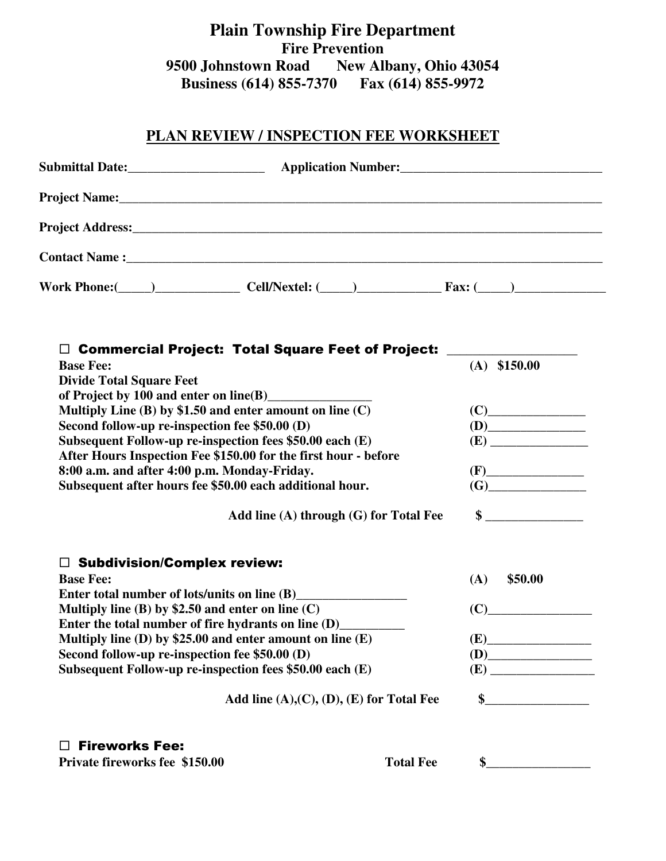**Plain Township Fire Department Fire Prevention 9500 Johnstown Road New Albany, Ohio 43054 Business (614) 855-7370 Fax (614) 855-9972**

## **PLAN REVIEW / INSPECTION FEE WORKSHEET**

| Contact Name : Manual Contact Name : Manual Contact Name : Manual Contact Name : Manual Contact Name : Manual Contact Name : Manual Contact Name : Manual Contact Name : Manual Contact Name : Manual Contact Name : Manual Co |                                                                                                                                                                                                                                                       |  |  |  |  |
|--------------------------------------------------------------------------------------------------------------------------------------------------------------------------------------------------------------------------------|-------------------------------------------------------------------------------------------------------------------------------------------------------------------------------------------------------------------------------------------------------|--|--|--|--|
| Work Phone: $\qquad \qquad$ $\qquad \qquad$ Cell/Nextel: $\qquad \qquad$ $\qquad$ Fax: $\qquad \qquad$                                                                                                                         |                                                                                                                                                                                                                                                       |  |  |  |  |
|                                                                                                                                                                                                                                |                                                                                                                                                                                                                                                       |  |  |  |  |
| □ Commercial Project: Total Square Feet of Project: ____________________________<br><b>Base Fee:</b>                                                                                                                           | $(A)$ \$150.00                                                                                                                                                                                                                                        |  |  |  |  |
| <b>Divide Total Square Feet</b>                                                                                                                                                                                                |                                                                                                                                                                                                                                                       |  |  |  |  |
| of Project by 100 and enter on line(B)                                                                                                                                                                                         |                                                                                                                                                                                                                                                       |  |  |  |  |
| Multiply Line $(B)$ by \$1.50 and enter amount on line $(C)$                                                                                                                                                                   |                                                                                                                                                                                                                                                       |  |  |  |  |
| Second follow-up re-inspection fee \$50.00 (D)                                                                                                                                                                                 | (D)                                                                                                                                                                                                                                                   |  |  |  |  |
| Subsequent Follow-up re-inspection fees \$50.00 each (E)                                                                                                                                                                       |                                                                                                                                                                                                                                                       |  |  |  |  |
| After Hours Inspection Fee \$150.00 for the first hour - before                                                                                                                                                                |                                                                                                                                                                                                                                                       |  |  |  |  |
| 8:00 a.m. and after 4:00 p.m. Monday-Friday.                                                                                                                                                                                   | $(F)$ and $(F)$ and $(F)$ and $(F)$ and $(F)$ and $(F)$ and $(F)$ and $(F)$ and $(F)$ and $(F)$ and $(F)$ and $(F)$ and $(F)$ and $(F)$ and $(F)$ and $(F)$ and $(F)$ and $(F)$ and $(F)$ and $(F)$ and $(F)$ and $(F)$ and $(F)$ and $(F)$ and $(F)$ |  |  |  |  |
| Subsequent after hours fee \$50.00 each additional hour.                                                                                                                                                                       |                                                                                                                                                                                                                                                       |  |  |  |  |
| Add line (A) through (G) for Total Fee                                                                                                                                                                                         | $\sim$                                                                                                                                                                                                                                                |  |  |  |  |
|                                                                                                                                                                                                                                |                                                                                                                                                                                                                                                       |  |  |  |  |
| $\Box$ Subdivision/Complex review:<br><b>Base Fee:</b>                                                                                                                                                                         |                                                                                                                                                                                                                                                       |  |  |  |  |
| Enter total number of lots/units on line (B) ________________                                                                                                                                                                  | \$50.00<br>(A)                                                                                                                                                                                                                                        |  |  |  |  |
| Multiply line (B) by \$2.50 and enter on line $(C)$                                                                                                                                                                            | (C)                                                                                                                                                                                                                                                   |  |  |  |  |
| Enter the total number of fire hydrants on line (D)__________                                                                                                                                                                  |                                                                                                                                                                                                                                                       |  |  |  |  |
| Multiply line (D) by \$25.00 and enter amount on line $(E)$                                                                                                                                                                    | (E)                                                                                                                                                                                                                                                   |  |  |  |  |
|                                                                                                                                                                                                                                |                                                                                                                                                                                                                                                       |  |  |  |  |
|                                                                                                                                                                                                                                |                                                                                                                                                                                                                                                       |  |  |  |  |
| Second follow-up re-inspection fee \$50.00 (D)                                                                                                                                                                                 |                                                                                                                                                                                                                                                       |  |  |  |  |
| Subsequent Follow-up re-inspection fees \$50.00 each (E)<br>Add line $(A),(C),(D),(E)$ for Total Fee                                                                                                                           |                                                                                                                                                                                                                                                       |  |  |  |  |

**Private fireworks fee** \$150.00 **Total Fee** \$